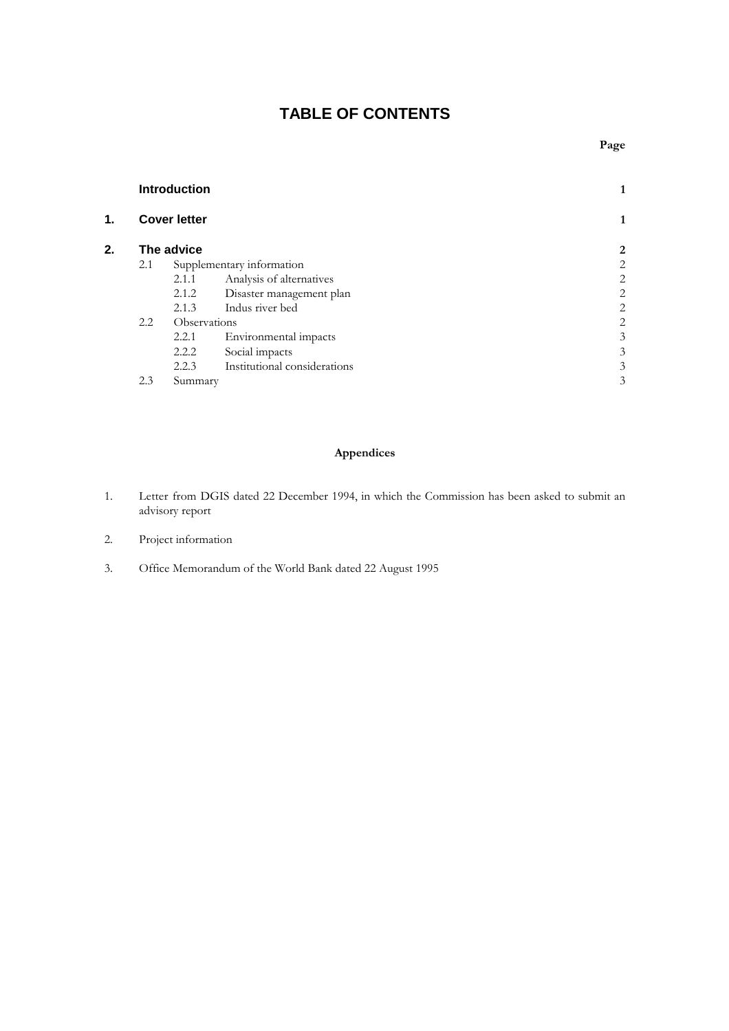# **TABLE OF CONTENTS**

|    | <b>Introduction</b><br><b>Cover letter</b> |         |                              |   |
|----|--------------------------------------------|---------|------------------------------|---|
| 1. |                                            |         |                              | 1 |
| 2. | The advice                                 |         |                              | 2 |
|    | 2.1                                        |         | Supplementary information    | 2 |
|    |                                            | 2.1.1   | Analysis of alternatives     | 2 |
|    |                                            | 2.1.2   | Disaster management plan     | 2 |
|    |                                            | 2.1.3   | Indus river bed              | 2 |
|    | 2.2<br>Observations                        |         |                              | 2 |
|    |                                            | 2.2.1   | Environmental impacts        | 3 |
|    |                                            | 2.2.2   | Social impacts               | 3 |
|    |                                            | 2.2.3   | Institutional considerations | 3 |
|    | 2.3                                        | Summary |                              | 3 |
|    |                                            |         |                              |   |

# **Appendices**

- 1. Letter from DGIS dated 22 December 1994, in which the Commission has been asked to submit an advisory report
- 2. Project information
- 3. Office Memorandum of the World Bank dated 22 August 1995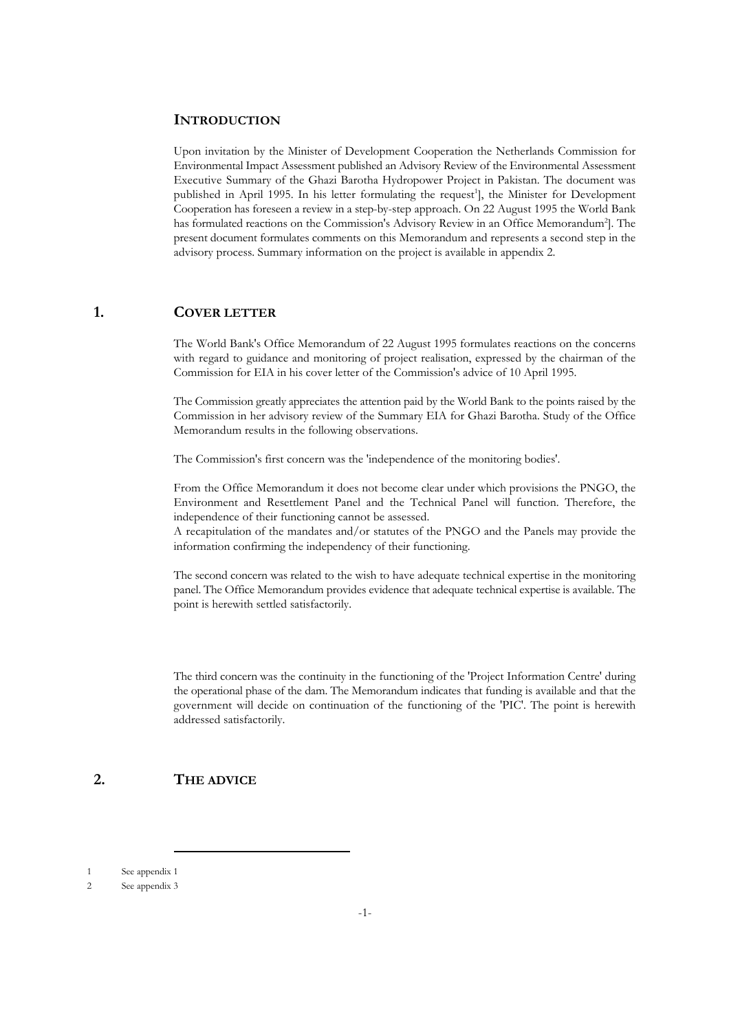## **INTRODUCTION**

Upon invitation by the Minister of Development Cooperation the Netherlands Commission for Environmental Impact Assessment published an Advisory Review of the Environmental Assessment Executive Summary of the Ghazi Barotha Hydropower Project in Pakistan. The document was published in April 1995. In his letter formulating the request<sup>1</sup>], the Minister for Development Cooperation has foreseen a review in a step-by-step approach. On 22 August 1995 the World Bank has formulated reactions on the Commission's Advisory Review in an Office Memorandum<sup>2</sup>]. The present document formulates comments on this Memorandum and represents a second step in the advisory process. Summary information on the project is available in appendix 2.

# **1. COVER LETTER**

The World Bank's Office Memorandum of 22 August 1995 formulates reactions on the concerns with regard to guidance and monitoring of project realisation, expressed by the chairman of the Commission for EIA in his cover letter of the Commission's advice of 10 April 1995.

The Commission greatly appreciates the attention paid by the World Bank to the points raised by the Commission in her advisory review of the Summary EIA for Ghazi Barotha. Study of the Office Memorandum results in the following observations.

The Commission's first concern was the 'independence of the monitoring bodies'.

From the Office Memorandum it does not become clear under which provisions the PNGO, the Environment and Resettlement Panel and the Technical Panel will function. Therefore, the independence of their functioning cannot be assessed.

A recapitulation of the mandates and/or statutes of the PNGO and the Panels may provide the information confirming the independency of their functioning.

The second concern was related to the wish to have adequate technical expertise in the monitoring panel. The Office Memorandum provides evidence that adequate technical expertise is available. The point is herewith settled satisfactorily.

The third concern was the continuity in the functioning of the 'Project Information Centre' during the operational phase of the dam. The Memorandum indicates that funding is available and that the government will decide on continuation of the functioning of the 'PIC'. The point is herewith addressed satisfactorily.

# **2. THE ADVICE**

<sup>1</sup> See appendix 1

<sup>2</sup> See appendix 3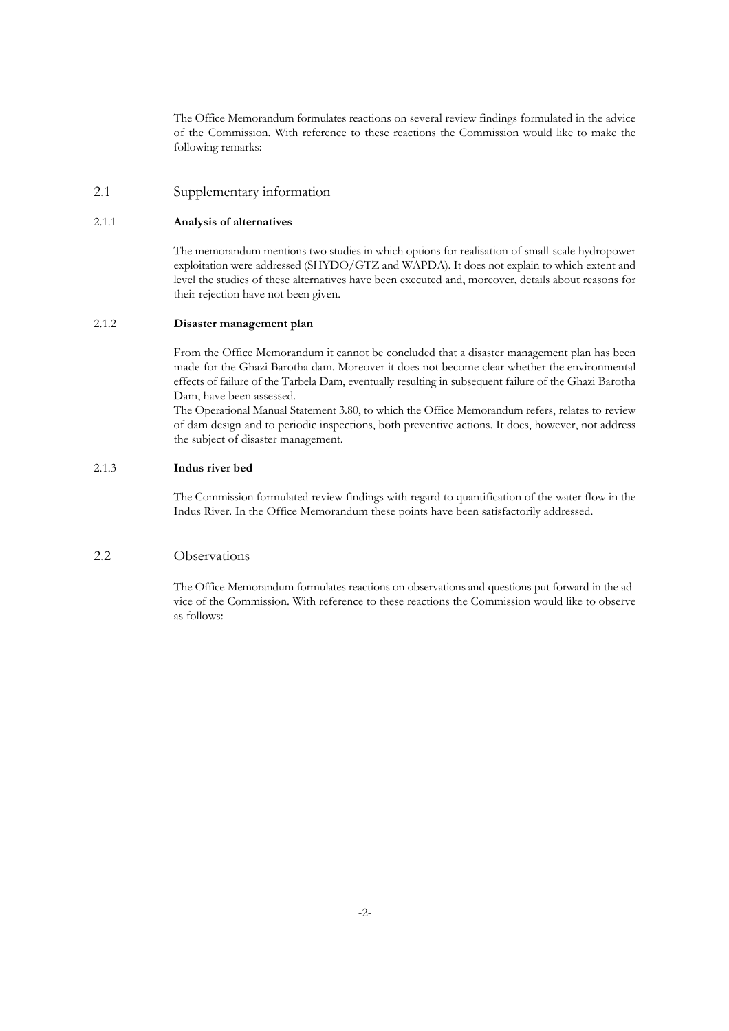The Office Memorandum formulates reactions on several review findings formulated in the advice of the Commission. With reference to these reactions the Commission would like to make the following remarks:

## 2.1 Supplementary information

### 2.1.1 **Analysis of alternatives**

The memorandum mentions two studies in which options for realisation of small-scale hydropower exploitation were addressed (SHYDO/GTZ and WAPDA). It does not explain to which extent and level the studies of these alternatives have been executed and, moreover, details about reasons for their rejection have not been given.

#### 2.1.2 **Disaster management plan**

From the Office Memorandum it cannot be concluded that a disaster management plan has been made for the Ghazi Barotha dam. Moreover it does not become clear whether the environmental effects of failure of the Tarbela Dam, eventually resulting in subsequent failure of the Ghazi Barotha Dam, have been assessed.

The Operational Manual Statement 3.80, to which the Office Memorandum refers, relates to review of dam design and to periodic inspections, both preventive actions. It does, however, not address the subject of disaster management.

## 2.1.3 **Indus river bed**

The Commission formulated review findings with regard to quantification of the water flow in the Indus River. In the Office Memorandum these points have been satisfactorily addressed.

# 2.2 Observations

The Office Memorandum formulates reactions on observations and questions put forward in the advice of the Commission. With reference to these reactions the Commission would like to observe as follows: